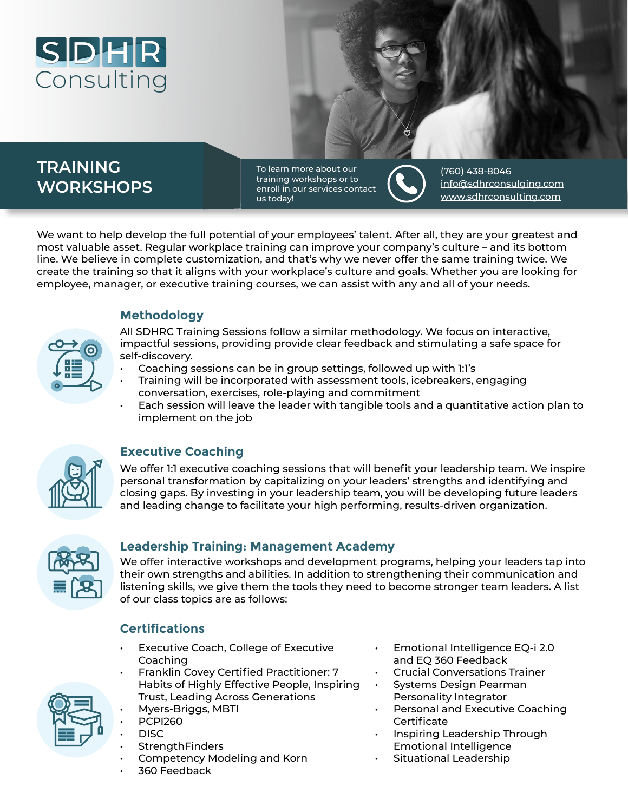

# **TRAINING WORKSHOPS**

To learn more about our training workshops or to enroll in our services contact us today!



(760) 438-8046 [info@sdhrconsulging.com](mailto:info%40sdhrconsulging.com?subject=Compensation%20Services%20Brochure) [www.sdhrconsulting.com](http://www.sdhrconsulting.com)

We want to help develop the full potential of your employees' talent. After all, they are your greatest and most valuable asset. Regular workplace training can improve your company's culture – and its bottom line. We believe in complete customization, and that's why we never offer the same training twice. We create the training so that it aligns with your workplace's culture and goals. Whether you are looking for employee, manager, or executive training courses, we can assist with any and all of your needs.

# **Methodology**

All SDHRC Training Sessions follow a similar methodology. We focus on interactive, impactful sessions, providing provide clear feedback and stimulating a safe space for self-discovery.

- Coaching sessions can be in group settings, followed up with 1:1's
- Training will be incorporated with assessment tools, icebreakers, engaging conversation, exercises, role-playing and commitment
- Each session will leave the leader with tangible tools and a quantitative action plan to implement on the job



# **Executive Coaching**

We offer 1:1 executive coaching sessions that will benefit your leadership team. We inspire personal transformation by capitalizing on your leaders' strengths and identifying and closing gaps. By investing in your leadership team, you will be developing future leaders and leading change to facilitate your high performing, results-driven organization.



#### **Leadership Training: Management Academy**

We offer interactive workshops and development programs, helping your leaders tap into their own strengths and abilities. In addition to strengthening their communication and listening skills, we give them the tools they need to become stronger team leaders. A list of our class topics are as follows:

# **Certifications**

- Executive Coach, College of Executive Coaching
- Franklin Covey Certified Practitioner: 7 Habits of Highly Effective People, Inspiring Trust, Leading Across Generations
- Myers-Briggs, MBTI
- PCPI260
- DISC
- **StrengthFinders**
- Competency Modeling and Korn
- 360 Feedback
- Emotional Intelligence EQ-i 2.0 and EQ 360 Feedback
- Crucial Conversations Trainer
- Systems Design Pearman Personality Integrator
- Personal and Executive Coaching **Certificate**
- Inspiring Leadership Through Emotional Intelligence
- Situational Leadership

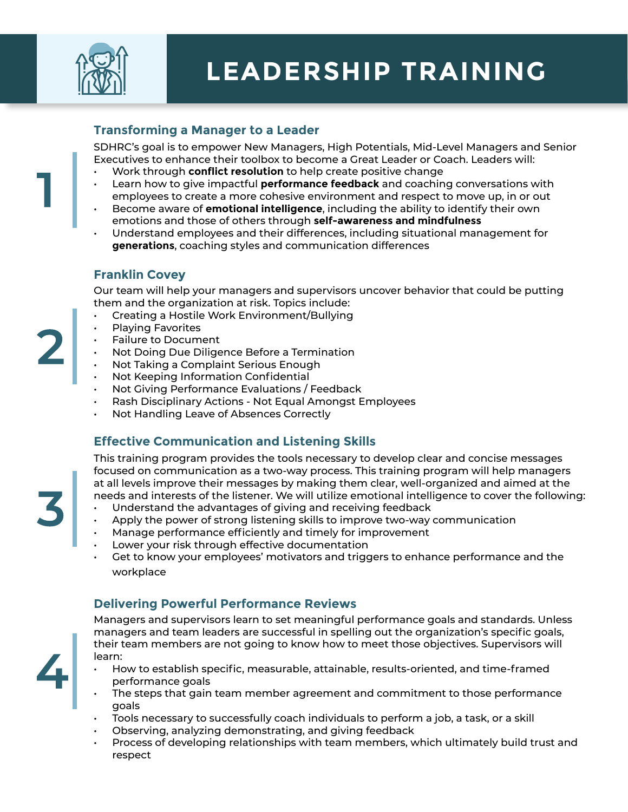

# **LEADERSHIP TRAINING**

# **Transforming a Manager to a Leader**

SDHRC's goal is to empower New Managers, High Potentials, Mid-Level Managers and Senior Executives to enhance their toolbox to become a Great Leader or Coach. Leaders will:

- Work through **conflict resolution** to help create positive change
- Learn how to give impactful **performance feedback** and coaching conversations with employees to create a more cohesive environment and respect to move up, in or out
- Become aware of **emotional intelligence**, including the ability to identify their own emotions and those of others through **self-awareness and mindfulness**
- Understand employees and their differences, including situational management for **generations**, coaching styles and communication differences

# **Franklin Covey**

Our team will help your managers and supervisors uncover behavior that could be putting them and the organization at risk. Topics include:

- Creating a Hostile Work Environment/Bullying
- Playing Favorites
- Failure to Document
- Not Doing Due Diligence Before a Termination
- Not Taking a Complaint Serious Enough
- Not Keeping Information Confidential
- Not Giving Performance Evaluations / Feedback
- Rash Disciplinary Actions Not Equal Amongst Employees
- Not Handling Leave of Absences Correctly

#### **Effective Communication and Listening Skills**

This training program provides the tools necessary to develop clear and concise messages focused on communication as a two-way process. This training program will help managers at all levels improve their messages by making them clear, well-organized and aimed at the needs and interests of the listener. We will utilize emotional intelligence to cover the following:

- Understand the advantages of giving and receiving feedback
- Apply the power of strong listening skills to improve two-way communication
- Manage performance efficiently and timely for improvement
- Lower your risk through effective documentation
- Get to know your employees' motivators and triggers to enhance performance and the workplace

# **Delivering Powerful Performance Reviews**

Managers and supervisors learn to set meaningful performance goals and standards. Unless managers and team leaders are successful in spelling out the organization's specific goals, their team members are not going to know how to meet those objectives. Supervisors will learn:

- 
- How to establish specific, measurable, attainable, results-oriented, and time-framed performance goals
- The steps that gain team member agreement and commitment to those performance goals
- Tools necessary to successfully coach individuals to perform a job, a task, or a skill
- Observing, analyzing demonstrating, and giving feedback
- Process of developing relationships with team members, which ultimately build trust and respect